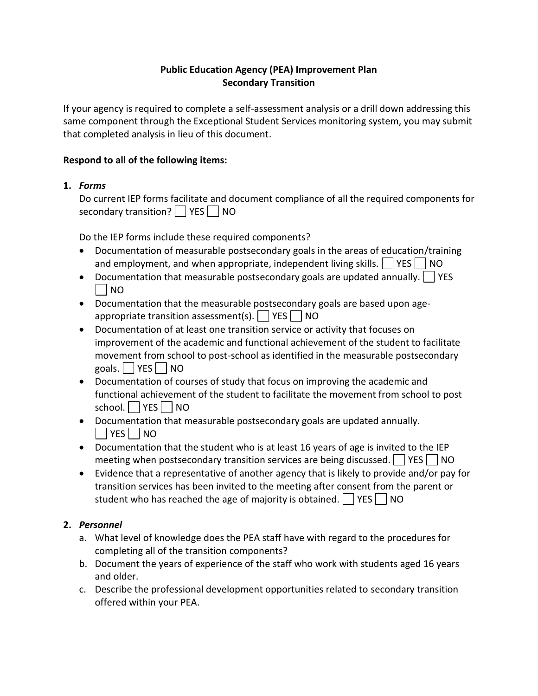### **Public Education Agency (PEA) Improvement Plan Secondary Transition**

If your agency is required to complete a self-assessment analysis or a drill down addressing this same component through the Exceptional Student Services monitoring system, you may submit that completed analysis in lieu of this document.

### **Respond to all of the following items:**

## **1.** *Forms*

Do current IEP forms facilitate and document compliance of all the required components for secondary transition?  $|$   $|$  YES  $|$   $|$  NO

Do the IEP forms include these required components?

- Documentation of measurable postsecondary goals in the areas of education/training and employment, and when appropriate, independent living skills.  $\vert \vert$  YES  $\vert \vert$  NO
- Documentation that measurable postsecondary goals are updated annually.  $\Box$  YES | NO
- Documentation that the measurable postsecondary goals are based upon ageappropriate transition assessment(s).  $\Box$  YES  $\Box$  NO
- Documentation of at least one transition service or activity that focuses on improvement of the academic and functional achievement of the student to facilitate movement from school to post-school as identified in the measurable postsecondary goals.  $\Box$  YES  $\Box$  NO
- Documentation of courses of study that focus on improving the academic and functional achievement of the student to facilitate the movement from school to post school. YES NO
- Documentation that measurable postsecondary goals are updated annually.  $\vert$  YES  $\vert$  NO
- Documentation that the student who is at least 16 years of age is invited to the IEP meeting when postsecondary transition services are being discussed.  $\vert$  YES  $\vert$  NO
- Evidence that a representative of another agency that is likely to provide and/or pay for transition services has been invited to the meeting after consent from the parent or student who has reached the age of majority is obtained.  $\vert$  YES  $\vert$  NO

# **2.** *Personnel*

- a. What level of knowledge does the PEA staff have with regard to the procedures for completing all of the transition components?
- b. Document the years of experience of the staff who work with students aged 16 years and older.
- c. Describe the professional development opportunities related to secondary transition offered within your PEA.